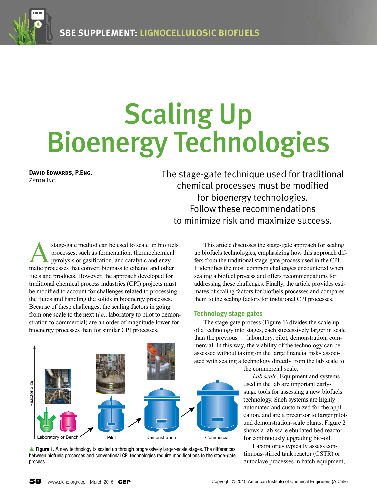

# Scaling Up Bioenergy Technologies

**David Edwards, P.Eng.** Zeton Inc.

The stage-gate technique used for traditional chemical processes must be modified for bioenergy technologies. Follow these recommendations to minimize risk and maximize success.

stage-gate method can be used to scale up biofuels<br>processes, such as fermentation, thermochemical<br>pyrolysis or gasification, and catalytic and enzy-<br>matic processes that convert biomass to ethanol and other processes, such as fermentation, thermochemical pyrolysis or gasification, and catalytic and enzymatic processes that convert biomass to ethanol and other fuels and products. However, the approach developed for traditional chemical process industries (CPI) projects must be modified to account for challenges related to processing the fluids and handling the solids in bioenergy processes. Because of these challenges, the scaling factors in going from one scale to the next (*i.e.*, laboratory to pilot to demonstration to commercial) are an order of magnitude lower for bioenergy processes than for similar CPI processes.



**Figure 1.** A new technology is scaled up through progressively larger-scale stages. The differences between biofuels processes and conventional CPI technologies require modifications to the stage-gate process.

This article discusses the stage-gate approach for scaling up biofuels technologies, emphasizing how this approach differs from the traditional stage-gate process used in the CPI. It identifies the most common challenges encountered when scaling a biofuel process and offers recommendations for addressing these challenges. Finally, the article provides estimates of scaling factors for biofuels processes and compares them to the scaling factors for traditional CPI processes.

# **Technology stage gates**

The stage-gate process (Figure 1) divides the scale-up of a technology into stages, each successively larger in scale than the previous — laboratory, pilot, demonstration, commercial. In this way, the viability of the technology can be assessed without taking on the large financial risks associated with scaling a technology directly from the lab scale to

the commercial scale.

*Lab scale*. Equipment and systems used in the lab are important earlystage tools for assessing a new biofuels technology. Such systems are highly automated and customized for the application, and are a precursor to larger pilotand demonstration-scale plants. Figure 2 shows a lab-scale ebullated-bed reactor for continuously upgrading bio-oil.

Laboratories typically assess continuous-stirred tank reactor (CSTR) or autoclave processes in batch equipment,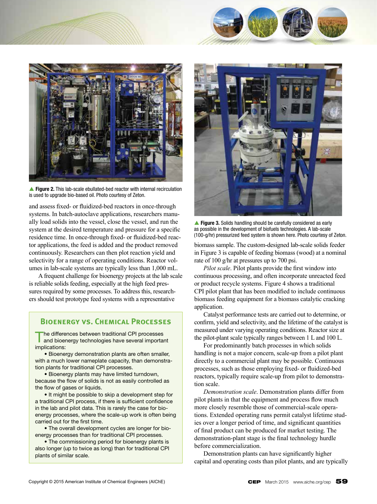



**Figure 2.** This lab-scale ebullated-bed reactor with internal recirculation is used to upgrade bio-based oil. Photo courtesy of Zeton.

and assess fixed- or fluidized-bed reactors in once-through systems. In batch-autoclave applications, researchers manually load solids into the vessel, close the vessel, and run the system at the desired temperature and pressure for a specific residence time. In once-through fixed- or fluidized-bed reactor applications, the feed is added and the product removed continuously. Researchers can then plot reaction yield and selectivity for a range of operating conditions. Reactor volumes in lab-scale systems are typically less than 1,000 mL.

A frequent challenge for bioenergy projects at the lab scale is reliable solids feeding, especially at the high feed pressures required by some processes. To address this, researchers should test prototype feed systems with a representative

# **Bioenergy vs. Chemical Processes**

The differences between traditional CPI processes and bioenergy technologies have several important implications:

 • Bioenergy demonstration plants are often smaller, with a much lower nameplate capacity, than demonstration plants for traditional CPI processes.

 • Bioenergy plants may have limited turndown, because the flow of solids is not as easily controlled as the flow of gases or liquids.

 • It might be possible to skip a development step for a traditional CPI process, if there is sufficient confidence in the lab and pilot data. This is rarely the case for bioenergy processes, where the scale-up work is often being carried out for the first time.

 • The overall development cycles are longer for bioenergy processes than for traditional CPI processes.

 • The commissioning period for bioenergy plants is also longer (up to twice as long) than for traditional CPI plants of similar scale.



**Figure 3.** Solids handling should be carefully considered as early as possible in the development of biofuels technologies. A lab-scale (100-g/hr) pressurized feed system is shown here. Photo courtesy of Zeton.

biomass sample. The custom-designed lab-scale solids feeder in Figure 3 is capable of feeding biomass (wood) at a nominal rate of 100 g/hr at pressures up to 700 psi.

*Pilot scale*. Pilot plants provide the first window into continuous processing, and often incorporate unreacted feed or product recycle systems. Figure 4 shows a traditional CPI pilot plant that has been modified to include continuous biomass feeding equipment for a biomass catalytic cracking application.

Catalyst performance tests are carried out to determine, or confirm, yield and selectivity, and the lifetime of the catalyst is measured under varying operating conditions. Reactor size at the pilot-plant scale typically ranges between 1 L and 100 L.

For predominantly batch processes in which solids handling is not a major concern, scale-up from a pilot plant directly to a commercial plant may be possible. Continuous processes, such as those employing fixed- or fluidized-bed reactors, typically require scale-up from pilot to demonstration scale.

*Demonstration scale*. Demonstration plants differ from pilot plants in that the equipment and process flow much more closely resemble those of commercial-scale operations. Extended operating runs permit catalyst lifetime studies over a longer period of time, and significant quantities of final product can be produced for market testing. The demonstration-plant stage is the final technology hurdle before commercialization.

Demonstration plants can have significantly higher capital and operating costs than pilot plants, and are typically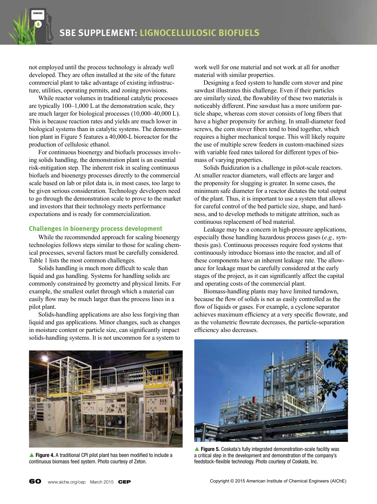

not employed until the process technology is already well developed. They are often installed at the site of the future commercial plant to take advantage of existing infrastructure, utilities, operating permits, and zoning provisions.

While reactor volumes in traditional catalytic processes are typically 100–1,000 L at the demonstration scale, they are much larger for biological processes (10,000–40,000 L). This is because reaction rates and yields are much lower in biological systems than in catalytic systems. The demonstration plant in Figure 5 features a 40,000-L bioreactor for the production of cellulosic ethanol.

For continuous bioenergy and biofuels processes involving solids handling, the demonstration plant is an essential risk-mitigation step. The inherent risk in scaling continuous biofuels and bioenergy processes directly to the commercial scale based on lab or pilot data is, in most cases, too large to be given serious consideration. Technology developers need to go through the demonstration scale to prove to the market and investors that their technology meets performance expectations and is ready for commercialization.

#### **Challenges in bioenergy process development**

While the recommended approach for scaling bioenergy technologies follows steps similar to those for scaling chemical processes, several factors must be carefully considered. Table 1 lists the most common challenges.

Solids handling is much more difficult to scale than liquid and gas handling. Systems for handling solids are commonly constrained by geometry and physical limits. For example, the smallest outlet through which a material can easily flow may be much larger than the process lines in a pilot plant.

Solids-handling applications are also less forgiving than liquid and gas applications. Minor changes, such as changes in moisture content or particle size, can significantly impact solids-handling systems. It is not uncommon for a system to

work well for one material and not work at all for another material with similar properties.

Designing a feed system to handle corn stover and pine sawdust illustrates this challenge. Even if their particles are similarly sized, the flowability of these two materials is noticeably different. Pine sawdust has a more uniform particle shape, whereas corn stover consists of long fibers that have a higher propensity for arching. In small-diameter feed screws, the corn stover fibers tend to bind together, which requires a higher mechanical torque. This will likely require the use of multiple screw feeders in custom-machined sizes with variable feed rates tailored for different types of biomass of varying properties.

Solids fluidization is a challenge in pilot-scale reactors. At smaller reactor diameters, wall effects are larger and the propensity for slugging is greater. In some cases, the minimum safe diameter for a reactor dictates the total output of the plant. Thus, it is important to use a system that allows for careful control of the bed particle size, shape, and hardness, and to develop methods to mitigate attrition, such as continuous replacement of bed material.

Leakage may be a concern in high-pressure applications, especially those handling hazardous process gases (*e.g.,* synthesis gas). Continuous processes require feed systems that continuously introduce biomass into the reactor, and all of these components have an inherent leakage rate. The allowance for leakage must be carefully considered at the early stages of the project, as it can significantly affect the capital and operating costs of the commercial plant.

Biomass-handling plants may have limited turndown, because the flow of solids is not as easily controlled as the flow of liquids or gases. For example, a cyclone separator achieves maximum efficiency at a very specific flowrate, and as the volumetric flowrate decreases, the particle-separation efficiency also decreases.



▲ Figure 4. A traditional CPI pilot plant has been modified to include a continuous biomass feed system. Photo courtesy of Zeton.



▲ Figure 5. Coskata's fully integrated demonstration-scale facility was a critical step in the development and demonstration of the company's feedstock-flexible technology. Photo courtesy of Coskata, Inc.